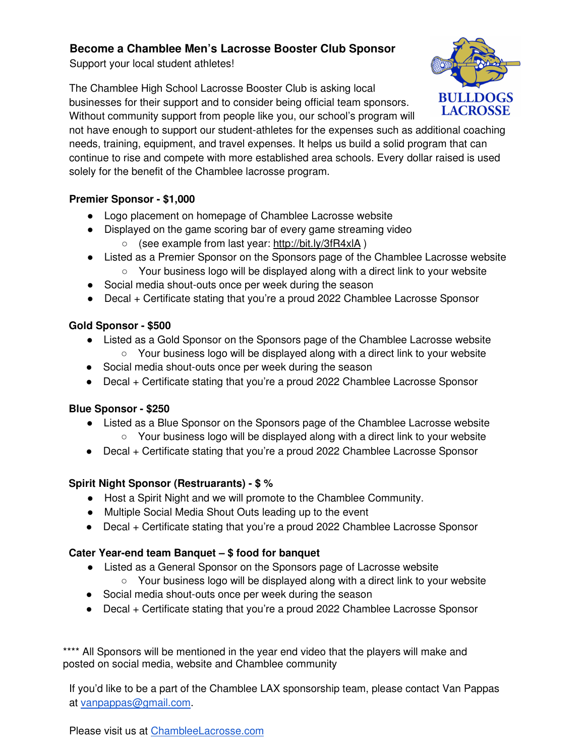### **Become a Chamblee Men's Lacrosse Booster Club Sponsor**

Support your local student athletes!

The Chamblee High School Lacrosse Booster Club is asking local businesses for their support and to consider being official team sponsors. Without community support from people like you, our school's program will



not have enough to support our student-athletes for the expenses such as additional coaching needs, training, equipment, and travel expenses. It helps us build a solid program that can continue to rise and compete with more established area schools. Every dollar raised is used solely for the benefit of the Chamblee lacrosse program.

#### **Premier Sponsor - \$1,000**

- Logo placement on homepage of Chamblee Lacrosse website
- Displayed on the game scoring bar of every game streaming video
	- (see example from last year: http://bit.ly/3fR4xlA )
- Listed as a Premier Sponsor on the Sponsors page of the Chamblee Lacrosse website
	- Your business logo will be displayed along with a direct link to your website
- Social media shout-outs once per week during the season
- Decal + Certificate stating that you're a proud 2022 Chamblee Lacrosse Sponsor

### **Gold Sponsor - \$500**

- Listed as a Gold Sponsor on the Sponsors page of the Chamblee Lacrosse website
	- $\circ$  Your business logo will be displayed along with a direct link to your website
- Social media shout-outs once per week during the season
- Decal + Certificate stating that you're a proud 2022 Chamblee Lacrosse Sponsor

## **Blue Sponsor - \$250**

- Listed as a Blue Sponsor on the Sponsors page of the Chamblee Lacrosse website  $\circ$  Your business logo will be displayed along with a direct link to your website
- Decal + Certificate stating that you're a proud 2022 Chamblee Lacrosse Sponsor

## **Spirit Night Sponsor (Restruarants) - \$ %**

- Host a Spirit Night and we will promote to the Chamblee Community.
- Multiple Social Media Shout Outs leading up to the event
- Decal + Certificate stating that you're a proud 2022 Chamblee Lacrosse Sponsor

## **Cater Year-end team Banquet – \$ food for banquet**

- Listed as a General Sponsor on the Sponsors page of Lacrosse website ○ Your business logo will be displayed along with a direct link to your website
- Social media shout-outs once per week during the season
- Decal + Certificate stating that you're a proud 2022 Chamblee Lacrosse Sponsor

\*\*\*\* All Sponsors will be mentioned in the year end video that the players will make and posted on social media, website and Chamblee community

If you'd like to be a part of the Chamblee LAX sponsorship team, please contact Van Pappas at vanpappas@gmail.com.

Please visit us at ChambleeLacrosse.com